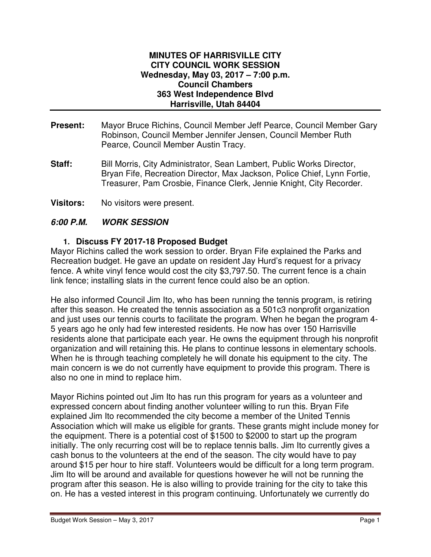#### **MINUTES OF HARRISVILLE CITY CITY COUNCIL WORK SESSION Wednesday, May 03, 2017 – 7:00 p.m. Council Chambers 363 West Independence Blvd Harrisville, Utah 84404**

- **Present:** Mayor Bruce Richins, Council Member Jeff Pearce, Council Member Gary Robinson, Council Member Jennifer Jensen, Council Member Ruth Pearce, Council Member Austin Tracy.
- **Staff:** Bill Morris, City Administrator, Sean Lambert, Public Works Director, Bryan Fife, Recreation Director, Max Jackson, Police Chief, Lynn Fortie, Treasurer, Pam Crosbie, Finance Clerk, Jennie Knight, City Recorder.
- **Visitors:** No visitors were present.

# **6:00 P.M. WORK SESSION**

### **1. Discuss FY 2017-18 Proposed Budget**

Mayor Richins called the work session to order. Bryan Fife explained the Parks and Recreation budget. He gave an update on resident Jay Hurd's request for a privacy fence. A white vinyl fence would cost the city \$3,797.50. The current fence is a chain link fence; installing slats in the current fence could also be an option.

He also informed Council Jim Ito, who has been running the tennis program, is retiring after this season. He created the tennis association as a 501c3 nonprofit organization and just uses our tennis courts to facilitate the program. When he began the program 4- 5 years ago he only had few interested residents. He now has over 150 Harrisville residents alone that participate each year. He owns the equipment through his nonprofit organization and will retaining this. He plans to continue lessons in elementary schools. When he is through teaching completely he will donate his equipment to the city. The main concern is we do not currently have equipment to provide this program. There is also no one in mind to replace him.

Mayor Richins pointed out Jim Ito has run this program for years as a volunteer and expressed concern about finding another volunteer willing to run this. Bryan Fife explained Jim Ito recommended the city become a member of the United Tennis Association which will make us eligible for grants. These grants might include money for the equipment. There is a potential cost of \$1500 to \$2000 to start up the program initially. The only recurring cost will be to replace tennis balls. Jim Ito currently gives a cash bonus to the volunteers at the end of the season. The city would have to pay around \$15 per hour to hire staff. Volunteers would be difficult for a long term program. Jim Ito will be around and available for questions however he will not be running the program after this season. He is also willing to provide training for the city to take this on. He has a vested interest in this program continuing. Unfortunately we currently do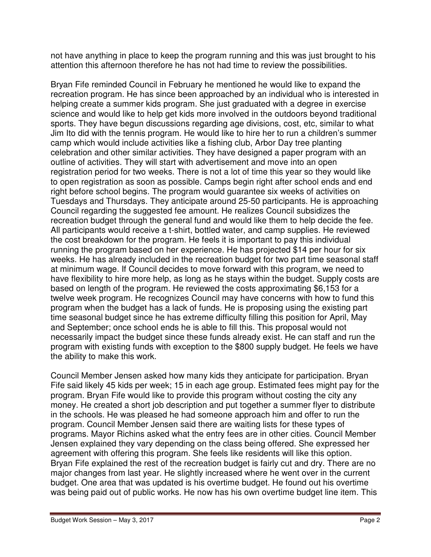not have anything in place to keep the program running and this was just brought to his attention this afternoon therefore he has not had time to review the possibilities.

Bryan Fife reminded Council in February he mentioned he would like to expand the recreation program. He has since been approached by an individual who is interested in helping create a summer kids program. She just graduated with a degree in exercise science and would like to help get kids more involved in the outdoors beyond traditional sports. They have begun discussions regarding age divisions, cost, etc, similar to what Jim Ito did with the tennis program. He would like to hire her to run a children's summer camp which would include activities like a fishing club, Arbor Day tree planting celebration and other similar activities. They have designed a paper program with an outline of activities. They will start with advertisement and move into an open registration period for two weeks. There is not a lot of time this year so they would like to open registration as soon as possible. Camps begin right after school ends and end right before school begins. The program would guarantee six weeks of activities on Tuesdays and Thursdays. They anticipate around 25-50 participants. He is approaching Council regarding the suggested fee amount. He realizes Council subsidizes the recreation budget through the general fund and would like them to help decide the fee. All participants would receive a t-shirt, bottled water, and camp supplies. He reviewed the cost breakdown for the program. He feels it is important to pay this individual running the program based on her experience. He has projected \$14 per hour for six weeks. He has already included in the recreation budget for two part time seasonal staff at minimum wage. If Council decides to move forward with this program, we need to have flexibility to hire more help, as long as he stays within the budget. Supply costs are based on length of the program. He reviewed the costs approximating \$6,153 for a twelve week program. He recognizes Council may have concerns with how to fund this program when the budget has a lack of funds. He is proposing using the existing part time seasonal budget since he has extreme difficulty filling this position for April, May and September; once school ends he is able to fill this. This proposal would not necessarily impact the budget since these funds already exist. He can staff and run the program with existing funds with exception to the \$800 supply budget. He feels we have the ability to make this work.

Council Member Jensen asked how many kids they anticipate for participation. Bryan Fife said likely 45 kids per week; 15 in each age group. Estimated fees might pay for the program. Bryan Fife would like to provide this program without costing the city any money. He created a short job description and put together a summer flyer to distribute in the schools. He was pleased he had someone approach him and offer to run the program. Council Member Jensen said there are waiting lists for these types of programs. Mayor Richins asked what the entry fees are in other cities. Council Member Jensen explained they vary depending on the class being offered. She expressed her agreement with offering this program. She feels like residents will like this option. Bryan Fife explained the rest of the recreation budget is fairly cut and dry. There are no major changes from last year. He slightly increased where he went over in the current budget. One area that was updated is his overtime budget. He found out his overtime was being paid out of public works. He now has his own overtime budget line item. This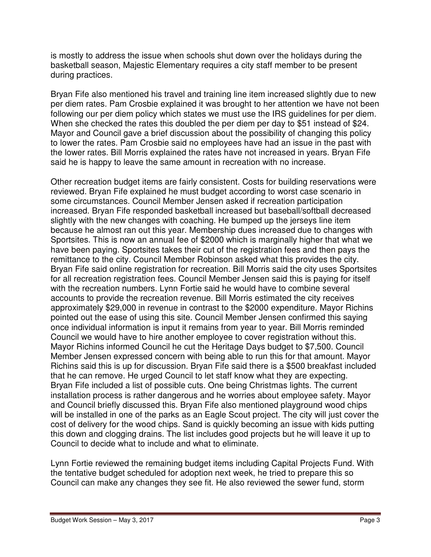is mostly to address the issue when schools shut down over the holidays during the basketball season, Majestic Elementary requires a city staff member to be present during practices.

Bryan Fife also mentioned his travel and training line item increased slightly due to new per diem rates. Pam Crosbie explained it was brought to her attention we have not been following our per diem policy which states we must use the IRS guidelines for per diem. When she checked the rates this doubled the per diem per day to \$51 instead of \$24. Mayor and Council gave a brief discussion about the possibility of changing this policy to lower the rates. Pam Crosbie said no employees have had an issue in the past with the lower rates. Bill Morris explained the rates have not increased in years. Bryan Fife said he is happy to leave the same amount in recreation with no increase.

Other recreation budget items are fairly consistent. Costs for building reservations were reviewed. Bryan Fife explained he must budget according to worst case scenario in some circumstances. Council Member Jensen asked if recreation participation increased. Bryan Fife responded basketball increased but baseball/softball decreased slightly with the new changes with coaching. He bumped up the jerseys line item because he almost ran out this year. Membership dues increased due to changes with Sportsites. This is now an annual fee of \$2000 which is marginally higher that what we have been paying. Sportsites takes their cut of the registration fees and then pays the remittance to the city. Council Member Robinson asked what this provides the city. Bryan Fife said online registration for recreation. Bill Morris said the city uses Sportsites for all recreation registration fees. Council Member Jensen said this is paying for itself with the recreation numbers. Lynn Fortie said he would have to combine several accounts to provide the recreation revenue. Bill Morris estimated the city receives approximately \$29,000 in revenue in contrast to the \$2000 expenditure. Mayor Richins pointed out the ease of using this site. Council Member Jensen confirmed this saying once individual information is input it remains from year to year. Bill Morris reminded Council we would have to hire another employee to cover registration without this. Mayor Richins informed Council he cut the Heritage Days budget to \$7,500. Council Member Jensen expressed concern with being able to run this for that amount. Mayor Richins said this is up for discussion. Bryan Fife said there is a \$500 breakfast included that he can remove. He urged Council to let staff know what they are expecting. Bryan Fife included a list of possible cuts. One being Christmas lights. The current installation process is rather dangerous and he worries about employee safety. Mayor and Council briefly discussed this. Bryan Fife also mentioned playground wood chips will be installed in one of the parks as an Eagle Scout project. The city will just cover the cost of delivery for the wood chips. Sand is quickly becoming an issue with kids putting this down and clogging drains. The list includes good projects but he will leave it up to Council to decide what to include and what to eliminate.

Lynn Fortie reviewed the remaining budget items including Capital Projects Fund. With the tentative budget scheduled for adoption next week, he tried to prepare this so Council can make any changes they see fit. He also reviewed the sewer fund, storm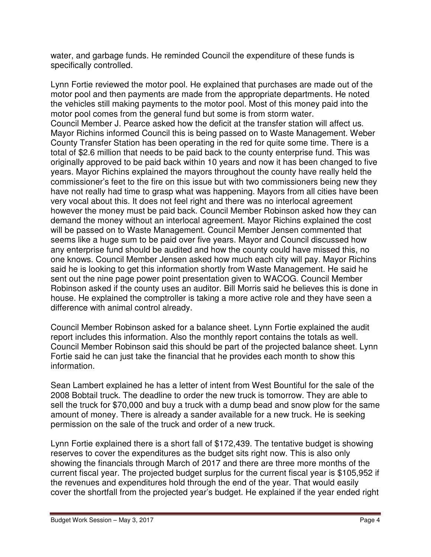water, and garbage funds. He reminded Council the expenditure of these funds is specifically controlled.

Lynn Fortie reviewed the motor pool. He explained that purchases are made out of the motor pool and then payments are made from the appropriate departments. He noted the vehicles still making payments to the motor pool. Most of this money paid into the motor pool comes from the general fund but some is from storm water. Council Member J. Pearce asked how the deficit at the transfer station will affect us. Mayor Richins informed Council this is being passed on to Waste Management. Weber County Transfer Station has been operating in the red for quite some time. There is a total of \$2.6 million that needs to be paid back to the county enterprise fund. This was originally approved to be paid back within 10 years and now it has been changed to five years. Mayor Richins explained the mayors throughout the county have really held the commissioner's feet to the fire on this issue but with two commissioners being new they have not really had time to grasp what was happening. Mayors from all cities have been very vocal about this. It does not feel right and there was no interlocal agreement however the money must be paid back. Council Member Robinson asked how they can demand the money without an interlocal agreement. Mayor Richins explained the cost will be passed on to Waste Management. Council Member Jensen commented that seems like a huge sum to be paid over five years. Mayor and Council discussed how any enterprise fund should be audited and how the county could have missed this, no one knows. Council Member Jensen asked how much each city will pay. Mayor Richins said he is looking to get this information shortly from Waste Management. He said he sent out the nine page power point presentation given to WACOG. Council Member Robinson asked if the county uses an auditor. Bill Morris said he believes this is done in house. He explained the comptroller is taking a more active role and they have seen a difference with animal control already.

Council Member Robinson asked for a balance sheet. Lynn Fortie explained the audit report includes this information. Also the monthly report contains the totals as well. Council Member Robinson said this should be part of the projected balance sheet. Lynn Fortie said he can just take the financial that he provides each month to show this information.

Sean Lambert explained he has a letter of intent from West Bountiful for the sale of the 2008 Bobtail truck. The deadline to order the new truck is tomorrow. They are able to sell the truck for \$70,000 and buy a truck with a dump bead and snow plow for the same amount of money. There is already a sander available for a new truck. He is seeking permission on the sale of the truck and order of a new truck.

Lynn Fortie explained there is a short fall of \$172,439. The tentative budget is showing reserves to cover the expenditures as the budget sits right now. This is also only showing the financials through March of 2017 and there are three more months of the current fiscal year. The projected budget surplus for the current fiscal year is \$105,952 if the revenues and expenditures hold through the end of the year. That would easily cover the shortfall from the projected year's budget. He explained if the year ended right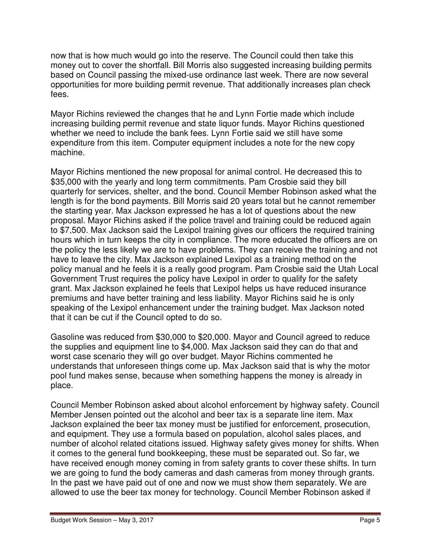now that is how much would go into the reserve. The Council could then take this money out to cover the shortfall. Bill Morris also suggested increasing building permits based on Council passing the mixed-use ordinance last week. There are now several opportunities for more building permit revenue. That additionally increases plan check fees.

Mayor Richins reviewed the changes that he and Lynn Fortie made which include increasing building permit revenue and state liquor funds. Mayor Richins questioned whether we need to include the bank fees. Lynn Fortie said we still have some expenditure from this item. Computer equipment includes a note for the new copy machine.

Mayor Richins mentioned the new proposal for animal control. He decreased this to \$35,000 with the yearly and long term commitments. Pam Crosbie said they bill quarterly for services, shelter, and the bond. Council Member Robinson asked what the length is for the bond payments. Bill Morris said 20 years total but he cannot remember the starting year. Max Jackson expressed he has a lot of questions about the new proposal. Mayor Richins asked if the police travel and training could be reduced again to \$7,500. Max Jackson said the Lexipol training gives our officers the required training hours which in turn keeps the city in compliance. The more educated the officers are on the policy the less likely we are to have problems. They can receive the training and not have to leave the city. Max Jackson explained Lexipol as a training method on the policy manual and he feels it is a really good program. Pam Crosbie said the Utah Local Government Trust requires the policy have Lexipol in order to qualify for the safety grant. Max Jackson explained he feels that Lexipol helps us have reduced insurance premiums and have better training and less liability. Mayor Richins said he is only speaking of the Lexipol enhancement under the training budget. Max Jackson noted that it can be cut if the Council opted to do so.

Gasoline was reduced from \$30,000 to \$20,000. Mayor and Council agreed to reduce the supplies and equipment line to \$4,000. Max Jackson said they can do that and worst case scenario they will go over budget. Mayor Richins commented he understands that unforeseen things come up. Max Jackson said that is why the motor pool fund makes sense, because when something happens the money is already in place.

Council Member Robinson asked about alcohol enforcement by highway safety. Council Member Jensen pointed out the alcohol and beer tax is a separate line item. Max Jackson explained the beer tax money must be justified for enforcement, prosecution, and equipment. They use a formula based on population, alcohol sales places, and number of alcohol related citations issued. Highway safety gives money for shifts. When it comes to the general fund bookkeeping, these must be separated out. So far, we have received enough money coming in from safety grants to cover these shifts. In turn we are going to fund the body cameras and dash cameras from money through grants. In the past we have paid out of one and now we must show them separately. We are allowed to use the beer tax money for technology. Council Member Robinson asked if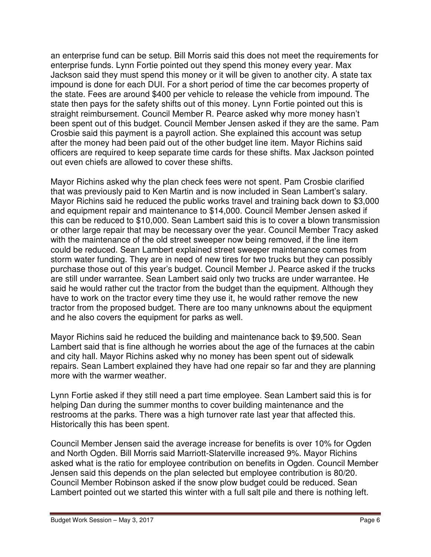an enterprise fund can be setup. Bill Morris said this does not meet the requirements for enterprise funds. Lynn Fortie pointed out they spend this money every year. Max Jackson said they must spend this money or it will be given to another city. A state tax impound is done for each DUI. For a short period of time the car becomes property of the state. Fees are around \$400 per vehicle to release the vehicle from impound. The state then pays for the safety shifts out of this money. Lynn Fortie pointed out this is straight reimbursement. Council Member R. Pearce asked why more money hasn't been spent out of this budget. Council Member Jensen asked if they are the same. Pam Crosbie said this payment is a payroll action. She explained this account was setup after the money had been paid out of the other budget line item. Mayor Richins said officers are required to keep separate time cards for these shifts. Max Jackson pointed out even chiefs are allowed to cover these shifts.

Mayor Richins asked why the plan check fees were not spent. Pam Crosbie clarified that was previously paid to Ken Martin and is now included in Sean Lambert's salary. Mayor Richins said he reduced the public works travel and training back down to \$3,000 and equipment repair and maintenance to \$14,000. Council Member Jensen asked if this can be reduced to \$10,000. Sean Lambert said this is to cover a blown transmission or other large repair that may be necessary over the year. Council Member Tracy asked with the maintenance of the old street sweeper now being removed, if the line item could be reduced. Sean Lambert explained street sweeper maintenance comes from storm water funding. They are in need of new tires for two trucks but they can possibly purchase those out of this year's budget. Council Member J. Pearce asked if the trucks are still under warrantee. Sean Lambert said only two trucks are under warrantee. He said he would rather cut the tractor from the budget than the equipment. Although they have to work on the tractor every time they use it, he would rather remove the new tractor from the proposed budget. There are too many unknowns about the equipment and he also covers the equipment for parks as well.

Mayor Richins said he reduced the building and maintenance back to \$9,500. Sean Lambert said that is fine although he worries about the age of the furnaces at the cabin and city hall. Mayor Richins asked why no money has been spent out of sidewalk repairs. Sean Lambert explained they have had one repair so far and they are planning more with the warmer weather.

Lynn Fortie asked if they still need a part time employee. Sean Lambert said this is for helping Dan during the summer months to cover building maintenance and the restrooms at the parks. There was a high turnover rate last year that affected this. Historically this has been spent.

Council Member Jensen said the average increase for benefits is over 10% for Ogden and North Ogden. Bill Morris said Marriott-Slaterville increased 9%. Mayor Richins asked what is the ratio for employee contribution on benefits in Ogden. Council Member Jensen said this depends on the plan selected but employee contribution is 80/20. Council Member Robinson asked if the snow plow budget could be reduced. Sean Lambert pointed out we started this winter with a full salt pile and there is nothing left.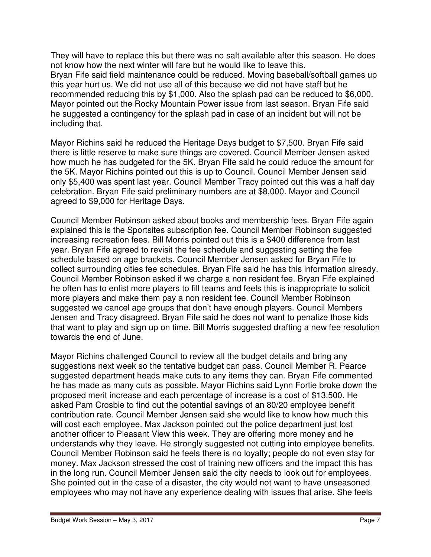They will have to replace this but there was no salt available after this season. He does not know how the next winter will fare but he would like to leave this. Bryan Fife said field maintenance could be reduced. Moving baseball/softball games up this year hurt us. We did not use all of this because we did not have staff but he recommended reducing this by \$1,000. Also the splash pad can be reduced to \$6,000. Mayor pointed out the Rocky Mountain Power issue from last season. Bryan Fife said he suggested a contingency for the splash pad in case of an incident but will not be including that.

Mayor Richins said he reduced the Heritage Days budget to \$7,500. Bryan Fife said there is little reserve to make sure things are covered. Council Member Jensen asked how much he has budgeted for the 5K. Bryan Fife said he could reduce the amount for the 5K. Mayor Richins pointed out this is up to Council. Council Member Jensen said only \$5,400 was spent last year. Council Member Tracy pointed out this was a half day celebration. Bryan Fife said preliminary numbers are at \$8,000. Mayor and Council agreed to \$9,000 for Heritage Days.

Council Member Robinson asked about books and membership fees. Bryan Fife again explained this is the Sportsites subscription fee. Council Member Robinson suggested increasing recreation fees. Bill Morris pointed out this is a \$400 difference from last year. Bryan Fife agreed to revisit the fee schedule and suggesting setting the fee schedule based on age brackets. Council Member Jensen asked for Bryan Fife to collect surrounding cities fee schedules. Bryan Fife said he has this information already. Council Member Robinson asked if we charge a non resident fee. Bryan Fife explained he often has to enlist more players to fill teams and feels this is inappropriate to solicit more players and make them pay a non resident fee. Council Member Robinson suggested we cancel age groups that don't have enough players. Council Members Jensen and Tracy disagreed. Bryan Fife said he does not want to penalize those kids that want to play and sign up on time. Bill Morris suggested drafting a new fee resolution towards the end of June.

Mayor Richins challenged Council to review all the budget details and bring any suggestions next week so the tentative budget can pass. Council Member R. Pearce suggested department heads make cuts to any items they can. Bryan Fife commented he has made as many cuts as possible. Mayor Richins said Lynn Fortie broke down the proposed merit increase and each percentage of increase is a cost of \$13,500. He asked Pam Crosbie to find out the potential savings of an 80/20 employee benefit contribution rate. Council Member Jensen said she would like to know how much this will cost each employee. Max Jackson pointed out the police department just lost another officer to Pleasant View this week. They are offering more money and he understands why they leave. He strongly suggested not cutting into employee benefits. Council Member Robinson said he feels there is no loyalty; people do not even stay for money. Max Jackson stressed the cost of training new officers and the impact this has in the long run. Council Member Jensen said the city needs to look out for employees. She pointed out in the case of a disaster, the city would not want to have unseasoned employees who may not have any experience dealing with issues that arise. She feels